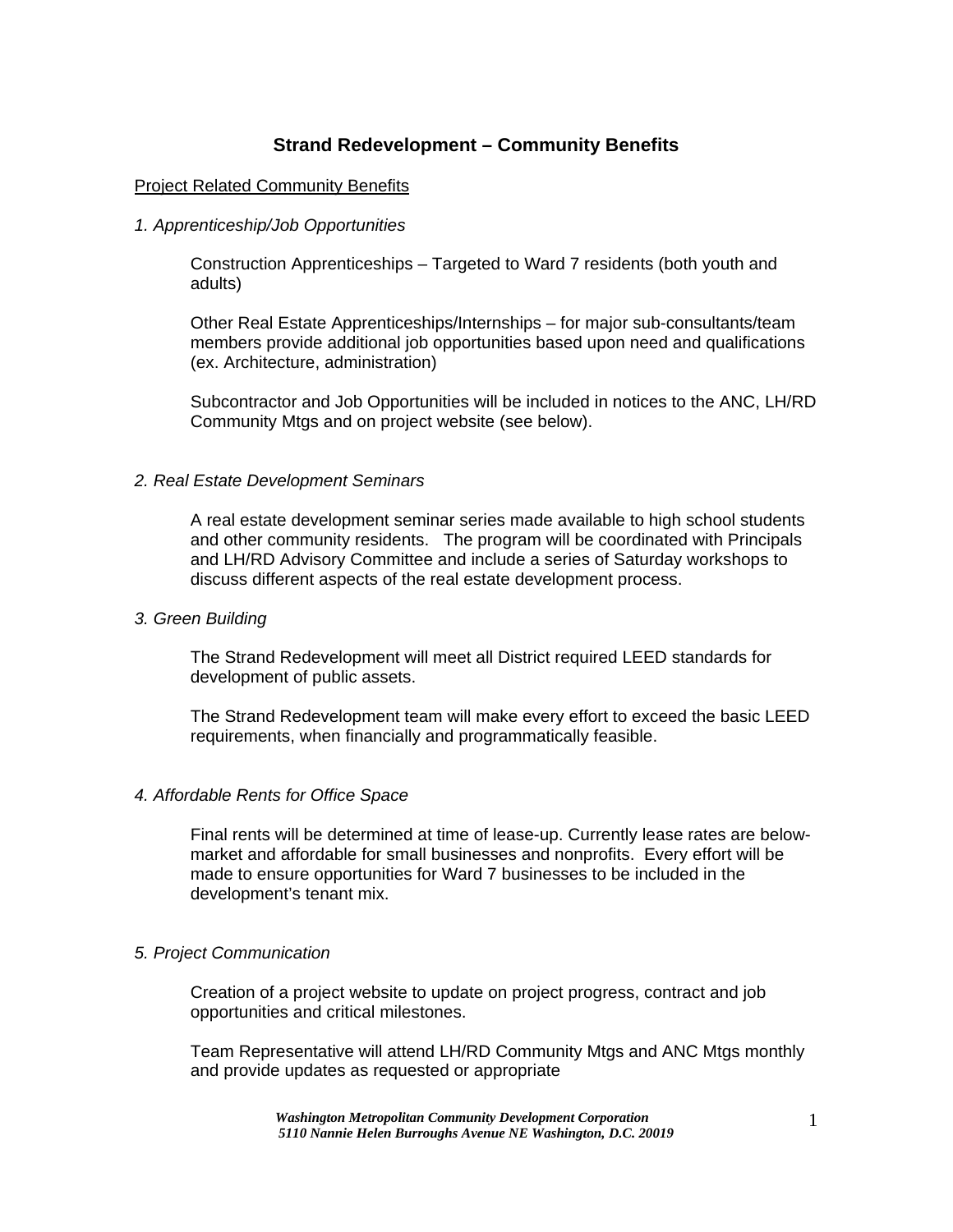# **Strand Redevelopment – Community Benefits**

# Project Related Community Benefits

## *1. Apprenticeship/Job Opportunities*

Construction Apprenticeships – Targeted to Ward 7 residents (both youth and adults)

Other Real Estate Apprenticeships/Internships – for major sub-consultants/team members provide additional job opportunities based upon need and qualifications (ex. Architecture, administration)

Subcontractor and Job Opportunities will be included in notices to the ANC, LH/RD Community Mtgs and on project website (see below).

# *2. Real Estate Development Seminars*

A real estate development seminar series made available to high school students and other community residents. The program will be coordinated with Principals and LH/RD Advisory Committee and include a series of Saturday workshops to discuss different aspects of the real estate development process.

### *3. Green Building*

The Strand Redevelopment will meet all District required LEED standards for development of public assets.

The Strand Redevelopment team will make every effort to exceed the basic LEED requirements, when financially and programmatically feasible.

### *4. Affordable Rents for Office Space*

Final rents will be determined at time of lease-up. Currently lease rates are belowmarket and affordable for small businesses and nonprofits. Every effort will be made to ensure opportunities for Ward 7 businesses to be included in the development's tenant mix.

### *5. Project Communication*

Creation of a project website to update on project progress, contract and job opportunities and critical milestones.

Team Representative will attend LH/RD Community Mtgs and ANC Mtgs monthly and provide updates as requested or appropriate